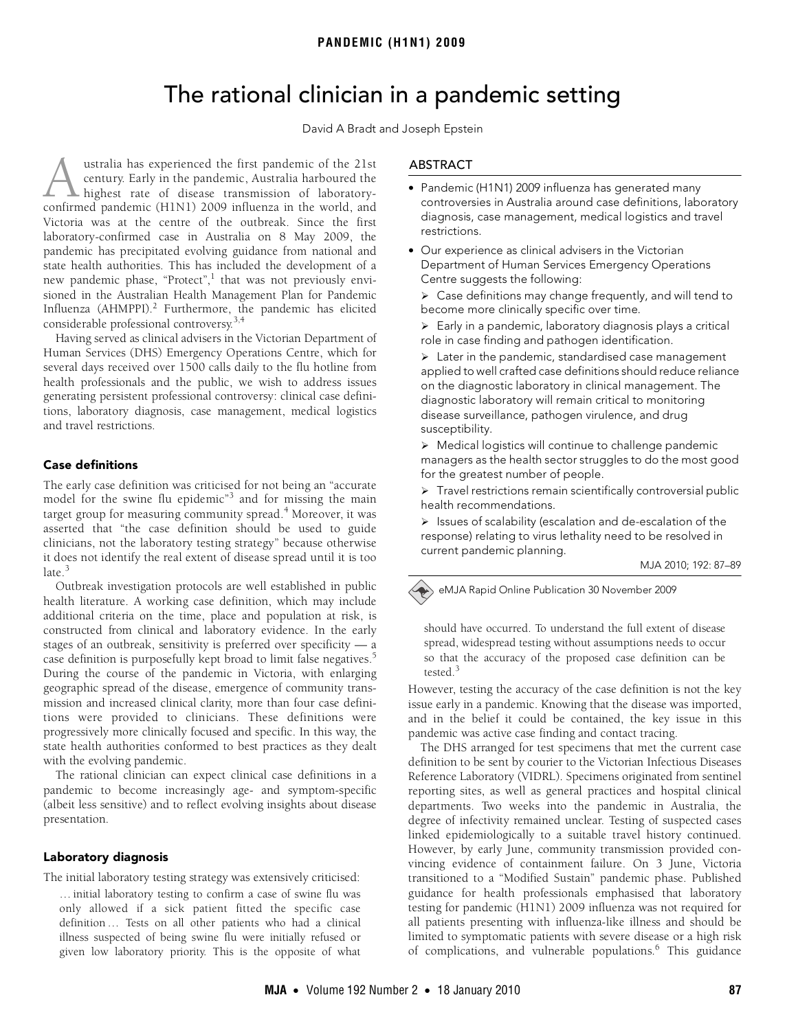# The rational clinician in a pandemic setting

David A Bradt and Joseph Epstein

<span id="page-0-0"></span> $T$  in the Australian Figure Management Figure Influenza (AHMPPI).<sup>[2](#page-2-1)</sup> Further[more](#page-0-0)[, t](#page-2-6)he pandemic has elicited conside[ra](#page-2-3)ble professional controversy.<sup>3,4</sup> ustralia has experienced the first pandemic of the 21st century. Early in the pandemic, Australia harboured the highest rate of disease transmission of laboratory-**Confirmed has experienced the first pandemic of the 21st** century. Early in the pandemic, Australia harboured the highest rate of disease transmission of laboratory-confirmed pandemic (H1N1) 2009 influenza in the world, a Victoria was at the centre of the outbreak. Since the first laboratory-confirmed case in Australia on 8 May 2009, the pandemic has precipitated evolving guidance from national and state health authorities. This has included the development of a new pandemic phase, "Protect",<sup>[1](#page-2-0)</sup> that was not previously envisioned in the Australian Health Management Plan for Pandemic

Having served as clinical advisers in the Victorian Department of Human Services (DHS) Emergency Operations Centre, which for several days received over 1500 calls daily to the flu hotline from health professionals and the public, we wish to address issues generating persistent professional controversy: clinical case definitions, laboratory diagnosis, case management, medical logistics and travel restrictions.

# Case definitions

The early case definition was criticised for not being an "accurate model for the swine flu epidemic"<sup>[3](#page-2-2)</sup> and for missing the main target group for measuring community spread.<sup>[4](#page-2-3)</sup> Moreover, it was asserted that "the case definition should be used to guide clinicians, not the laboratory testing strategy" because otherwise it does not identify the real extent of disease spread until it is too late.<sup>[3](#page-2-2)</sup>

Outbreak investigation protocols are well established in public health literature. A working case definition, which may include additional criteria on the time, place and population at risk, is constructed from clinical and laboratory evidence. In the early stages of an outbreak, sensitivity is preferred over specificity — a case definition is purposefully kept broad to limit false negatives.<sup>[5](#page-2-4)</sup> During the course of the pandemic in Victoria, with enlarging geographic spread of the disease, emergence of community transmission and increased clinical clarity, more than four case definitions were provided to clinicians. These definitions were progressively more clinically focused and specific. In this way, the state health authorities conformed to best practices as they dealt with the evolving pandemic.

The rational clinician can expect clinical case definitions in a pandemic to become increasingly age- and symptom-specific (albeit less sensitive) and to reflect evolving insights about disease presentation.

# Laboratory diagnosis

The initial laboratory testing strategy was extensively criticised:

… initial laboratory testing to confirm a case of swine flu was only allowed if a sick patient fitted the specific case definition … Tests on all other patients who had a clinical illness suspected of being swine flu were initially refused or given low laboratory priority. This is the opposite of what

# ABSTRACT

- Pandemic (H1N1) 2009 influenza has generated many controversies in Australia around case definitions, laboratory diagnosis, case management, medical logistics and travel restrictions.
- Our experience as clinical advisers in the Victorian Department of Human Services Emergency Operations Centre suggests the following:
	- $\triangleright$  Case definitions may change frequently, and will tend to become more clinically specific over time.
	- $\triangleright$  Early in a pandemic, laboratory diagnosis plays a critical role in case finding and pathogen identification.

 $\triangleright$  Later in the pandemic, standardised case management applied to well crafted case definitions should reduce reliance on the diagnostic laboratory in clinical management. The diagnostic laboratory will remain critical to monitoring disease surveillance, pathogen virulence, and drug susceptibility.

¾ Medical logistics will continue to challenge pandemic managers as the health sector struggles to do the most good for the greatest number of people.

 $\triangleright$  Travel restrictions remain scientifically controversial public health recommendations.

 $\triangleright$  Issues of scalability (escalation and de-escalation of the response) relating to virus lethality need to be resolved in current pandemic planning.

MJA 2010; 192: 87–89

eMJA Rapid Online Publication 30 November 2009

should have occurred. To understand the full extent of disease spread, widespread testing without assumptions needs to occur so that the accuracy of the proposed case definition can be tested.<sup>[3](#page-2-2)</sup>

However, testing the accuracy of the case definition is not the key issue early in a pandemic. Knowing that the disease was imported, and in the belief it could be contained, the key issue in this pandemic was active case finding and contact tracing.

The DHS arranged for test specimens that met the current case definition to be sent by courier to the Victorian Infectious Diseases Reference Laboratory (VIDRL). Specimens originated from sentinel reporting sites, as well as general practices and hospital clinical departments. Two weeks into the pandemic in Australia, the degree of infectivity remained unclear. Testing of suspected cases linked epidemiologically to a suitable travel history continued. However, by early June, community transmission provided convincing evidence of containment failure. On 3 June, Victoria transitioned to a "Modified Sustain" pandemic phase. Published guidance for health professionals emphasised that laboratory testing for pandemic (H1N1) 2009 influenza was not required for all patients presenting with influenza-like illness and should be limited to symptomatic patients with severe disease or a high risk of complications, and vulnerable populations.<sup>[6](#page-2-5)</sup> This guidance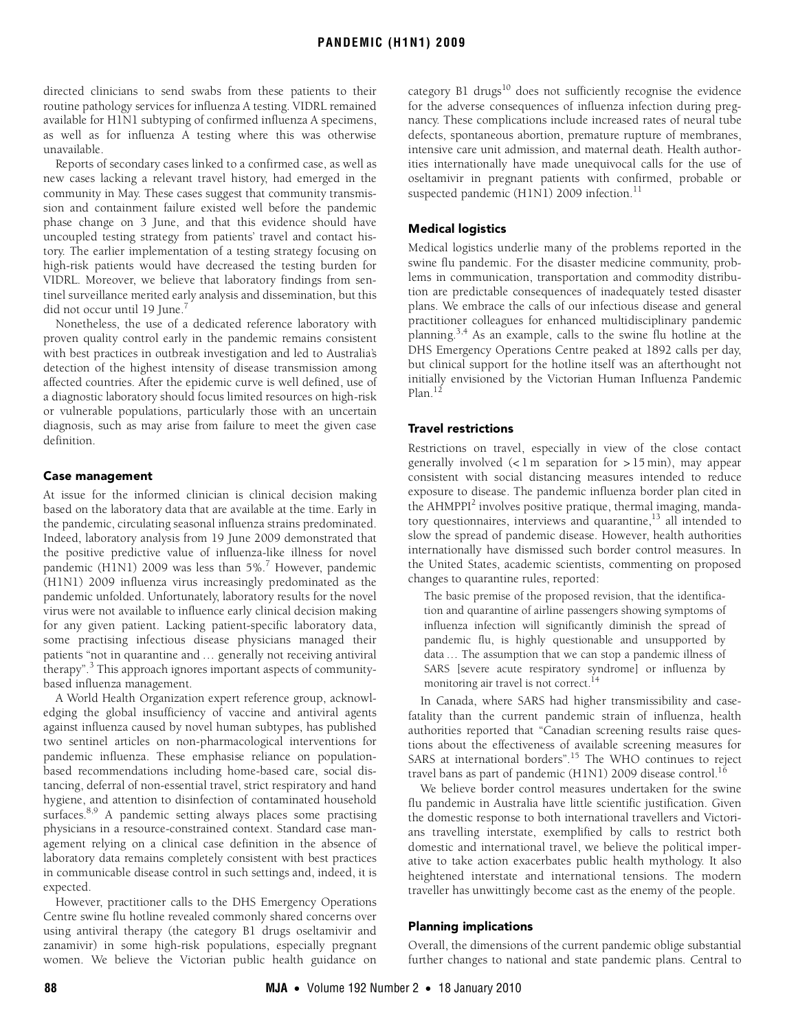directed clinicians to send swabs from these patients to their routine pathology services for influenza A testing. VIDRL remained available for H1N1 subtyping of confirmed influenza A specimens, as well as for influenza A testing where this was otherwise unavailable.

Reports of secondary cases linked to a confirmed case, as well as new cases lacking a relevant travel history, had emerged in the community in May. These cases suggest that community transmission and containment failure existed well before the pandemic phase change on 3 June, and that this evidence should have uncoupled testing strategy from patients' travel and contact history. The earlier implementation of a testing strategy focusing on high-risk patients would have decreased the testing burden for VIDRL. Moreover, we believe that laboratory findings from sentinel surveillance merited early analysis and dissemination, but this did not occur until 19 June.<sup>7</sup>

Nonetheless, the use of a dedicated reference laboratory with proven quality control early in the pandemic remains consistent with best practices in outbreak investigation and led to Australia's detection of the highest intensity of disease transmission among affected countries. After the epidemic curve is well defined, use of a diagnostic laboratory should focus limited resources on high-risk or vulnerable populations, particularly those with an uncertain diagnosis, such as may arise from failure to meet the given case definition.

#### Case management

At issue for the informed clinician is clinical decision making based on the laboratory data that are available at the time. Early in the pandemic, circulating seasonal influenza strains predominated. Indeed, laboratory analysis from 19 June 2009 demonstrated that the positive predictive value of influenza-like illness for novel pandemic (H1N1) 2009 was less than 5%.<sup>[7](#page-2-7)</sup> However, pandemic (H1N1) 2009 influenza virus increasingly predominated as the pandemic unfolded. Unfortunately, laboratory results for the novel virus were not available to influence early clinical decision making for any given patient. Lacking patient-specific laboratory data, some practising infectious disease physicians managed their patients "not in quarantine and … generally not receiving antiviral therapy".<sup>[3](#page-2-2)</sup> This approach ignores important aspects of communitybased influenza management.

A World Health Organization expert reference group, acknowledging the global insufficiency of vaccine and antiviral agents against influenza caused by novel human subtypes, has published two sentinel articles on non-pharmacological interventions for pandemic influenza. These emphasise reliance on populationbased recommendations including home-based care, social distancing, deferral of non-essential travel, strict respiratory and hand hygiene, and attention to disinfection of contaminated household surfaces.<sup>[8](#page-2-8),[9](#page-2-9)</sup> A pandemic setting always places some practising physicians in a resource-constrained context. Standard case management relying on a clinical case definition in the absence of laboratory data remains completely consistent with best practices in communicable disease control in such settings and, indeed, it is expected.

However, practitioner calls to the DHS Emergency Operations Centre swine flu hotline revealed commonly shared concerns over using antiviral therapy (the category B1 drugs oseltamivir and zanamivir) in some high-risk populations, especially pregnant women. We believe the Victorian public health guidance on

category B1 drugs $^{10}$  does not sufficiently recognise the evidence for the adverse consequences of influenza infection during pregnancy. These complications include increased rates of neural tube defects, spontaneous abortion, premature rupture of membranes, intensive care unit admission, and maternal death. Health authorities internationally have made unequivocal calls for the use of oseltamivir in pregnant patients with confirmed, probable or suspected pandemic (H1N1) 2009 infection.<sup>[11](#page-2-11)</sup>

### Medical logistics

Medical logistics underlie many of the problems reported in the swine flu pandemic. For the disaster medicine community, problems in communication, transportation and commodity distribution are predictable consequences of inadequately tested disaster plans. We embrace the calls of our infectious disease and general practitioner colleagues for enhanced multidisciplinary pandemic planning[.3](#page-2-2)[,4](#page-2-3) As an example, calls to the swine flu hotline at the DHS Emergency Operations Centre peaked at 1892 calls per day, but clinical support for the hotline itself was an afterthought not initially envisioned by the Victorian Human Influenza Pandemic Plan.<sup>[12](#page-2-12)</sup>

#### Travel restrictions

Restrictions on travel, especially in view of the close contact generally involved  $\left($ <1m separation for > 15 min), may appear consistent with social distancing measures intended to reduce exposure to disease. The pandemic influenza border plan cited in the AHMPPI<sup>[2](#page-2-1)</sup> involves positive pratique, thermal imaging, mandatory questionnaires, interviews and quarantine, $^{13}$  all intended to slow the spread of pandemic disease. However, health authorities internationally have dismissed such border control measures. In the United States, academic scientists, commenting on proposed changes to quarantine rules, reported:

The basic premise of the proposed revision, that the identification and quarantine of airline passengers showing symptoms of influenza infection will significantly diminish the spread of pandemic flu, is highly questionable and unsupported by data … The assumption that we can stop a pandemic illness of SARS [severe acute respiratory syndrome] or influenza by monitoring air travel is not correct.<sup>14</sup>

In Canada, where SARS had higher transmissibility and casefatality than the current pandemic strain of influenza, health authorities reported that "Canadian screening results raise questions about the effectiveness of available screening measures for SARS at international borders".<sup>[15](#page-2-15)</sup> The WHO continues to reject travel bans as part of pandemic (H1N1) 2009 disease control.<sup>[16](#page-2-6)</sup>

We believe border control measures undertaken for the swine flu pandemic in Australia have little scientific justification. Given the domestic response to both international travellers and Victorians travelling interstate, exemplified by calls to restrict both domestic and international travel, we believe the political imperative to take action exacerbates public health mythology. It also heightened interstate and international tensions. The modern traveller has unwittingly become cast as the enemy of the people.

#### Planning implications

Overall, the dimensions of the current pandemic oblige substantial further changes to national and state pandemic plans. Central to